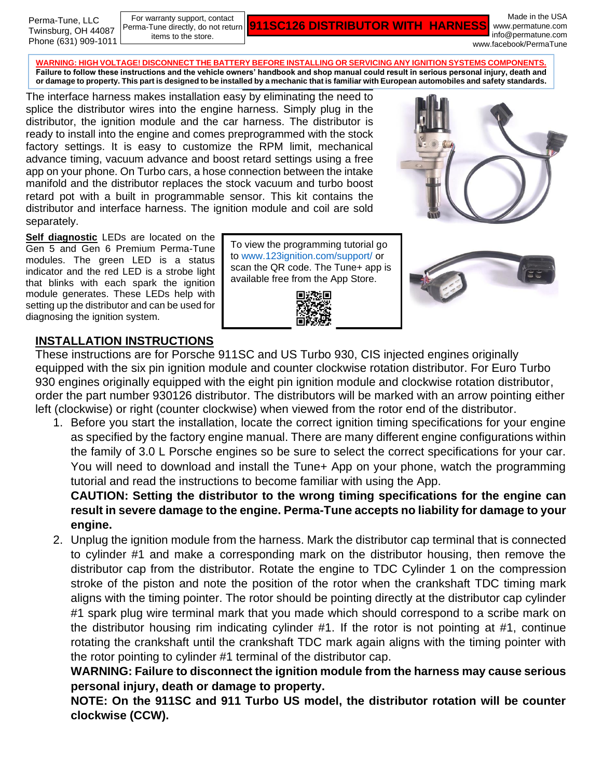For warranty support, contact Perma-Tune directly, do not return items to the store.

**911SC126 DISTRIBUTOR WITH HARNESS**

Made in the USA www.permatune.com info@permatune.com www.facebook/PermaTune

**Plug and Play Installation or damage to property. This part is designed to be installed by a mechanic that is familiar with European automobiles and safety standards. WARNING: HIGH VOLTAGE! DISCONNECT THE BATTERY BEFORE INSTALLING OR SERVICING ANY IGNITION SYSTEMS COMPONENTS. Failure to follow these instructions and the vehicle owners' handbook and shop manual could result in serious personal injury, death and** 

The interface harness makes installation easy by eliminating the need to splice the distributor wires into the engine harness. Simply plug in the distributor, the ignition module and the car harness. The distributor is ready to install into the engine and comes preprogrammed with the stock factory settings. It is easy to customize the RPM limit, mechanical advance timing, vacuum advance and boost retard settings using a free app on your phone. On Turbo cars, a hose connection between the intake manifold and the distributor replaces the stock vacuum and turbo boost retard pot with a built in programmable sensor. This kit contains the distributor and interface harness. The ignition module and coil are sold separately.

**Self diagnostic** LEDs are located on the Gen 5 and Gen 6 Premium Perma-Tune modules. The green LED is a status indicator and the red LED is a strobe light that blinks with each spark the ignition module generates. These LEDs help with setting up the distributor and can be used for diagnosing the ignition system.

To view the programming tutorial go to [www.123ignition.com/support/](http://www.123ignition.com/support/) or scan the QR code. The Tune+ app is available free from the App Store.







### **INSTALLATION INSTRUCTIONS**

These instructions are for Porsche 911SC and US Turbo 930, CIS injected engines originally equipped with the six pin ignition module and counter clockwise rotation distributor. For Euro Turbo 930 engines originally equipped with the eight pin ignition module and clockwise rotation distributor, order the part number 930126 distributor. The distributors will be marked with an arrow pointing either left (clockwise) or right (counter clockwise) when viewed from the rotor end of the distributor.

1. Before you start the installation, locate the correct ignition timing specifications for your engine as specified by the factory engine manual. There are many different engine configurations within the family of 3.0 L Porsche engines so be sure to select the correct specifications for your car. You will need to download and install the Tune+ App on your phone, watch the programming tutorial and read the instructions to become familiar with using the App.

**CAUTION: Setting the distributor to the wrong timing specifications for the engine can result in severe damage to the engine. Perma-Tune accepts no liability for damage to your engine.**

2. Unplug the ignition module from the harness. Mark the distributor cap terminal that is connected to cylinder #1 and make a corresponding mark on the distributor housing, then remove the distributor cap from the distributor. Rotate the engine to TDC Cylinder 1 on the compression stroke of the piston and note the position of the rotor when the crankshaft TDC timing mark aligns with the timing pointer. The rotor should be pointing directly at the distributor cap cylinder #1 spark plug wire terminal mark that you made which should correspond to a scribe mark on the distributor housing rim indicating cylinder #1. If the rotor is not pointing at #1, continue rotating the crankshaft until the crankshaft TDC mark again aligns with the timing pointer with the rotor pointing to cylinder #1 terminal of the distributor cap.

**WARNING: Failure to disconnect the ignition module from the harness may cause serious personal injury, death or damage to property.**

**NOTE: On the 911SC and 911 Turbo US model, the distributor rotation will be counter clockwise (CCW).**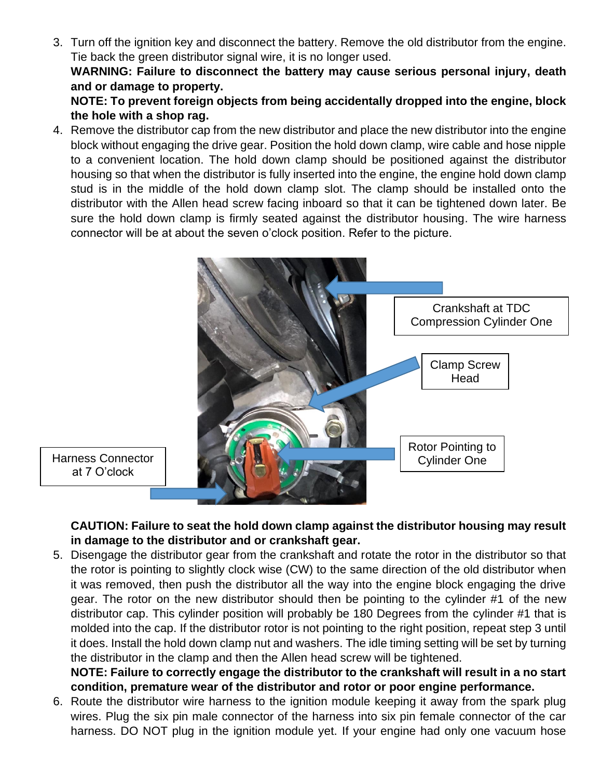3. Turn off the ignition key and disconnect the battery. Remove the old distributor from the engine. Tie back the green distributor signal wire, it is no longer used.

**WARNING: Failure to disconnect the battery may cause serious personal injury, death and or damage to property.** 

**NOTE: To prevent foreign objects from being accidentally dropped into the engine, block the hole with a shop rag.**

4. Remove the distributor cap from the new distributor and place the new distributor into the engine block without engaging the drive gear. Position the hold down clamp, wire cable and hose nipple to a convenient location. The hold down clamp should be positioned against the distributor housing so that when the distributor is fully inserted into the engine, the engine hold down clamp stud is in the middle of the hold down clamp slot. The clamp should be installed onto the distributor with the Allen head screw facing inboard so that it can be tightened down later. Be sure the hold down clamp is firmly seated against the distributor housing. The wire harness connector will be at about the seven o'clock position. Refer to the picture.



Harness Connector at 7 O'clock

> **CAUTION: Failure to seat the hold down clamp against the distributor housing may result in damage to the distributor and or crankshaft gear.**

5. Disengage the distributor gear from the crankshaft and rotate the rotor in the distributor so that the rotor is pointing to slightly clock wise (CW) to the same direction of the old distributor when it was removed, then push the distributor all the way into the engine block engaging the drive gear. The rotor on the new distributor should then be pointing to the cylinder #1 of the new distributor cap. This cylinder position will probably be 180 Degrees from the cylinder #1 that is molded into the cap. If the distributor rotor is not pointing to the right position, repeat step 3 until it does. Install the hold down clamp nut and washers. The idle timing setting will be set by turning the distributor in the clamp and then the Allen head screw will be tightened.

**NOTE: Failure to correctly engage the distributor to the crankshaft will result in a no start condition, premature wear of the distributor and rotor or poor engine performance.**

6. Route the distributor wire harness to the ignition module keeping it away from the spark plug wires. Plug the six pin male connector of the harness into six pin female connector of the car harness. DO NOT plug in the ignition module yet. If your engine had only one vacuum hose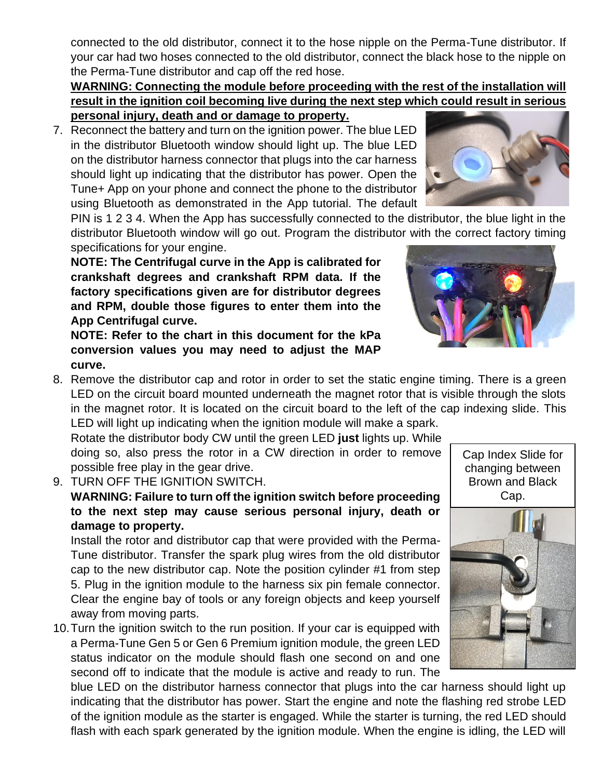connected to the old distributor, connect it to the hose nipple on the Perma-Tune distributor. If your car had two hoses connected to the old distributor, connect the black hose to the nipple on the Perma-Tune distributor and cap off the red hose.

#### **WARNING: Connecting the module before proceeding with the rest of the installation will result in the ignition coil becoming live during the next step which could result in serious personal injury, death and or damage to property.**

7. Reconnect the battery and turn on the ignition power. The blue LED in the distributor Bluetooth window should light up. The blue LED on the distributor harness connector that plugs into the car harness should light up indicating that the distributor has power. Open the Tune+ App on your phone and connect the phone to the distributor using Bluetooth as demonstrated in the App tutorial. The default

PIN is 1 2 3 4. When the App has successfully connected to the distributor, the blue light in the distributor Bluetooth window will go out. Program the distributor with the correct factory timing specifications for your engine.

**NOTE: The Centrifugal curve in the App is calibrated for crankshaft degrees and crankshaft RPM data. If the factory specifications given are for distributor degrees and RPM, double those figures to enter them into the App Centrifugal curve.**

**NOTE: Refer to the chart in this document for the kPa conversion values you may need to adjust the MAP curve.**

8. Remove the distributor cap and rotor in order to set the static engine timing. There is a green LED on the circuit board mounted underneath the magnet rotor that is visible through the slots in the magnet rotor. It is located on the circuit board to the left of the cap indexing slide. This LED will light up indicating when the ignition module will make a spark.

Rotate the distributor body CW until the green LED **just** lights up. While doing so, also press the rotor in a CW direction in order to remove possible free play in the gear drive.

9. TURN OFF THE IGNITION SWITCH.

# **WARNING: Failure to turn off the ignition switch before proceeding to the next step may cause serious personal injury, death or damage to property.**

Install the rotor and distributor cap that were provided with the Perma-Tune distributor. Transfer the spark plug wires from the old distributor cap to the new distributor cap. Note the position cylinder #1 from step 5. Plug in the ignition module to the harness six pin female connector. Clear the engine bay of tools or any foreign objects and keep yourself away from moving parts.

10.Turn the ignition switch to the run position. If your car is equipped with a Perma-Tune Gen 5 or Gen 6 Premium ignition module, the green LED status indicator on the module should flash one second on and one second off to indicate that the module is active and ready to run. The

blue LED on the distributor harness connector that plugs into the car harness should light up indicating that the distributor has power. Start the engine and note the flashing red strobe LED of the ignition module as the starter is engaged. While the starter is turning, the red LED should flash with each spark generated by the ignition module. When the engine is idling, the LED will







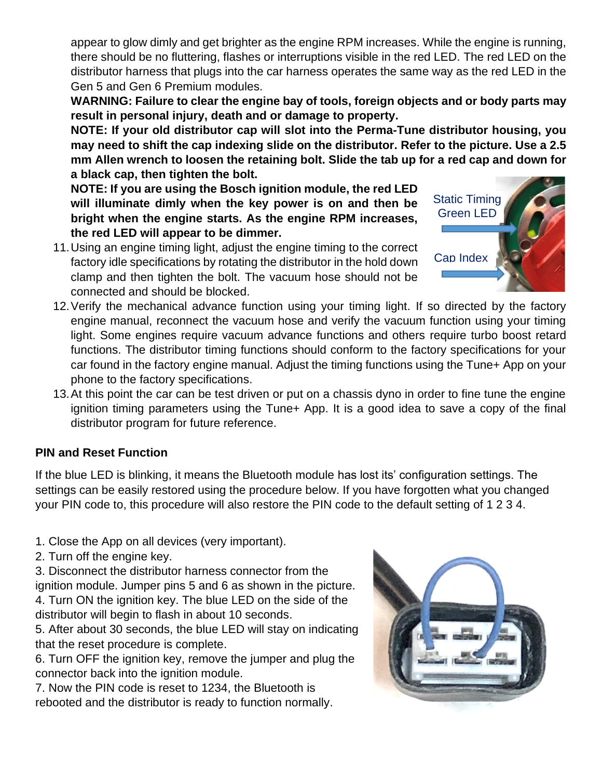appear to glow dimly and get brighter as the engine RPM increases. While the engine is running, there should be no fluttering, flashes or interruptions visible in the red LED. The red LED on the distributor harness that plugs into the car harness operates the same way as the red LED in the Gen 5 and Gen 6 Premium modules.

**WARNING: Failure to clear the engine bay of tools, foreign objects and or body parts may result in personal injury, death and or damage to property.**

**NOTE: If your old distributor cap will slot into the Perma-Tune distributor housing, you may need to shift the cap indexing slide on the distributor. Refer to the picture. Use a 2.5 mm Allen wrench to loosen the retaining bolt. Slide the tab up for a red cap and down for a black cap, then tighten the bolt.** 

**NOTE: If you are using the Bosch ignition module, the red LED will illuminate dimly when the key power is on and then be bright when the engine starts. As the engine RPM increases, the red LED will appear to be dimmer.**

- 11.Using an engine timing light, adjust the engine timing to the correct factory idle specifications by rotating the distributor in the hold down clamp and then tighten the bolt. The vacuum hose should not be connected and should be blocked.
- 12.Verify the mechanical advance function using your timing light. If so directed by the factory engine manual, reconnect the vacuum hose and verify the vacuum function using your timing light. Some engines require vacuum advance functions and others require turbo boost retard functions. The distributor timing functions should conform to the factory specifications for your car found in the factory engine manual. Adjust the timing functions using the Tune+ App on your phone to the factory specifications.
- 13.At this point the car can be test driven or put on a chassis dyno in order to fine tune the engine ignition timing parameters using the Tune+ App. It is a good idea to save a copy of the final distributor program for future reference.

# **PIN and Reset Function**

If the blue LED is blinking, it means the Bluetooth module has lost its' configuration settings. The settings can be easily restored using the procedure below. If you have forgotten what you changed your PIN code to, this procedure will also restore the PIN code to the default setting of 1 2 3 4.

1. Close the App on all devices (very important).

2. Turn off the engine key.

3. Disconnect the distributor harness connector from the ignition module. Jumper pins 5 and 6 as shown in the picture. 4. Turn ON the ignition key. The blue LED on the side of the distributor will begin to flash in about 10 seconds.

5. After about 30 seconds, the blue LED will stay on indicating that the reset procedure is complete.

6. Turn OFF the ignition key, remove the jumper and plug the connector back into the ignition module.

7. Now the PIN code is reset to 1234, the Bluetooth is rebooted and the distributor is ready to function normally.



Static Timing Green LED Cap Index